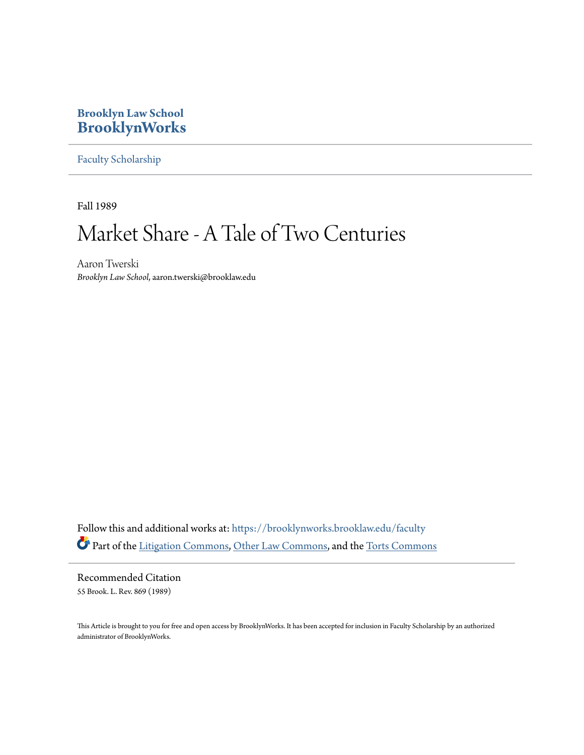# **Brooklyn Law School [BrooklynWorks](https://brooklynworks.brooklaw.edu?utm_source=brooklynworks.brooklaw.edu%2Ffaculty%2F699&utm_medium=PDF&utm_campaign=PDFCoverPages)**

[Faculty Scholarship](https://brooklynworks.brooklaw.edu/faculty?utm_source=brooklynworks.brooklaw.edu%2Ffaculty%2F699&utm_medium=PDF&utm_campaign=PDFCoverPages)

Fall 1989

# Market Share - A Tale of Two Centuries

Aaron Twerski *Brooklyn Law School*, aaron.twerski@brooklaw.edu

Follow this and additional works at: [https://brooklynworks.brooklaw.edu/faculty](https://brooklynworks.brooklaw.edu/faculty?utm_source=brooklynworks.brooklaw.edu%2Ffaculty%2F699&utm_medium=PDF&utm_campaign=PDFCoverPages) Part of the [Litigation Commons,](http://network.bepress.com/hgg/discipline/910?utm_source=brooklynworks.brooklaw.edu%2Ffaculty%2F699&utm_medium=PDF&utm_campaign=PDFCoverPages) [Other Law Commons](http://network.bepress.com/hgg/discipline/621?utm_source=brooklynworks.brooklaw.edu%2Ffaculty%2F699&utm_medium=PDF&utm_campaign=PDFCoverPages), and the [Torts Commons](http://network.bepress.com/hgg/discipline/913?utm_source=brooklynworks.brooklaw.edu%2Ffaculty%2F699&utm_medium=PDF&utm_campaign=PDFCoverPages)

Recommended Citation 55 Brook. L. Rev. 869 (1989)

This Article is brought to you for free and open access by BrooklynWorks. It has been accepted for inclusion in Faculty Scholarship by an authorized administrator of BrooklynWorks.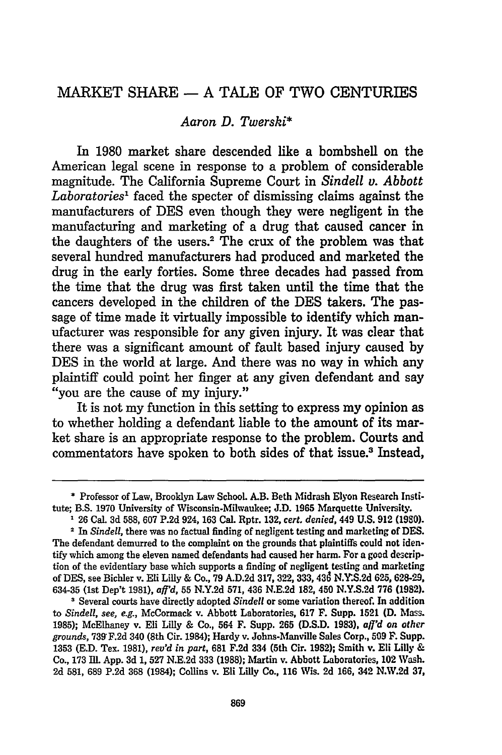# MARKET SHARE **- A TALE** OF TWO CENTURIES

## *Aaron D. Twerski\**

In **1980** market share descended like a bombshell on the American legal scene in response to a problem of considerable magnitude. The California Supreme Court in *Sindell v. Abbott Laboratories1* faced the specter of dismissing claims against the manufacturers of **DES** even though they were negligent in the manufacturing and marketing of a drug that caused cancer in the daughters of the users.<sup>2</sup> The crux of the problem was that several hundred manufacturers had produced and marketed the drug in the early forties. Some three decades had passed from the time that the drug was first taken until the time that the cancers developed in the children of the **DES** takers. The passage of time made it virtually impossible to identify which manufacturer was responsible for any given injury. It was clear that there was a significant amount of fault based injury caused **by DES** in the world at large. And there was no way in which any plaintiff could point her finger at any given defendant and say "you are the cause of my injury."

It is not my function in this setting to express my opinion as to whether holding a defendant liable to the amount of its market share is an appropriate response to the problem. Courts and commentators have spoken to both sides of that issue.<sup>3</sup> Instead,

**3** Several courts have directly adopted *Sindell* or some variation thereof. In addition to *Sindel, see, e.g.,* McCormack v. Abbott Laboratories, **617 F.** Supp. **1521 (D.** Mass. **1985);** McElhaney v. Eli Lilly **&** Co., 564 F. Supp. **265 (D.S.D. 1983),** *affd on other grounds,* **739 F.2d** 340 (8th Cir. 1984); Hardy v. Johns-Manville Sales Corp., **509** F. Supp. **1353 (E.D.** Tex. **1981),** *rev'd in part,* **681 F.2d** 334 (5th Cir. **1982);** Smith v. Eli Lilly **&** Co., **173** MII. **App. 3d 1, 527 N.E.2d 333 (1988);** Martin v. Abbott Laboratories, 102 Wash. **2d 581, 689 P.2d 368** (1984); Collins v. Eli Lilly Co., **116** Wis. **2d 166,** 342 **N.W.2d 37,**

**<sup>\*</sup>** Professor of Law, Brooklyn Law School. **A.B.** Beth Midrash Elyon Research Institute; B.S. **1970** University of Wisconsin-Milwaukee; **J.D. 1965** Marquette University.

**<sup>1</sup> 26** Cal. **3d 588, 607 P.2d** 924, **163** Cal. Rptr. **132,** *cert. denied,* 449 **U.S. 912 (1980).**

**<sup>2</sup>**In *Sindell,* there was no factual finding of negligent testing and marketing of **DES.** The defendant demurred to the complaint on the grounds that plaintiffs could not identify which among the eleven named defendants had caused her harm. For a good description of the evidentiary base which supports a finding of negligent testing and marketing **of DES,** see Bichler v. Eli Lilly **&** Co., **79 A.D.2d 317, 322, 333,** 43d **N.Y.S.2d 625, 628-29, 634-35** (1st Dep't **1981),** *aff'd,* **55 N.Y.2d 571,** 436 **N.E.2d 182,** 450 **N.Y.S.2d 776 (1982).**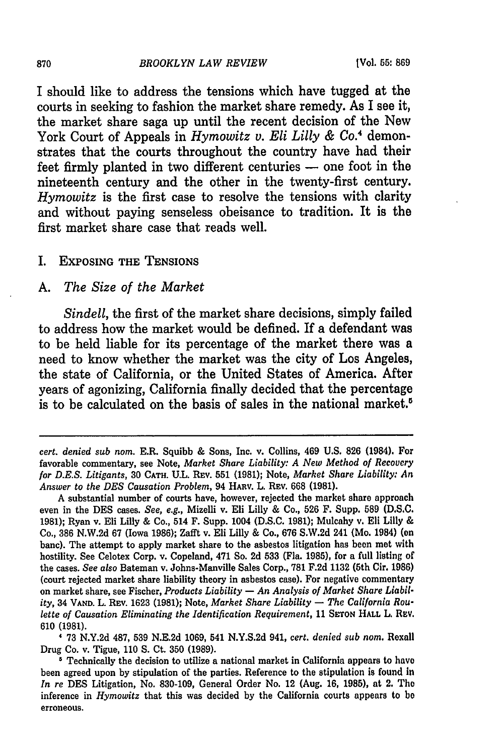I should like to address the tensions which have tugged at the courts in seeking to fashion the market share remedy. As I see it, the market share saga up until the recent decision of the New York Court of Appeals in *Hymowitz v. Eli Lilly & Co.4* demonstrates that the courts throughout the country have had their feet firmly planted in two different centuries **-** one foot in the nineteenth century and the other in the twenty-first century. *Hymowitz* is the first case to resolve the tensions with clarity and without paying senseless obeisance to tradition. It is the first market share case that reads well.

#### I. EXPOSING THE **TENSIONS**

#### *A. The Size of the Market*

*Sindell,* the first of the market share decisions, simply failed to address how the market would be defined. If a defendant was to be held liable for its percentage of the market there was a need to know whether the market was the city of Los Angeles, the state of California, or the United States of America. After years of agonizing, California finally decided that the percentage is to be calculated on the basis of sales in the national market.<sup>5</sup>

73 N.Y.2d 487, 539 N.E.2d 1069, 541 N.Y.S.2d 941, *cert. denied sub nom.* Rexall Drug Co. v. Tigue, 110 **S.** Ct. **350** (1989).

870

*cert. denied sub nom.* E.R. Squibb & Sons, Inc. v. Collins, 469 U.S. 826 (1984). For favorable commentary, see Note, *Market Share Liability: A New Method of Recovery for D.E.S. Litigants,* 30 **CATH.** *UL.* REv. **551 (1981);** Note, *Market Share Liability: An Answer to the DES Causation Problem,* 94 **HARv.** L. REv. 668 (1981).

A substantial number of courts have, however, rejected the market share approach even in the **DES** cases. *See, e.g.,* Mizelli v. Eli Lilly & Co., 526 F. Supp. **589 (D.S.C.** 1981); Ryan v. Eli Lilly & Co., 514 F. Supp. 1004 **(D.S.C.** 1981); Mulcahy v. Eli Lilly & Co., **386** N.W.2d 67 (Iowa 1986); Zafft v. Eli Lilly & Co., 676 S.W.2d 241 (Mo. 1984) **(en** banc). The attempt to apply market share to the asbestos litigation has been met with hostility. See Celotex Corp. v. Copeland, 471 So. 2d 533 (Fla. 1985), for a full listing of the cases. *See also* Bateman v. Johns-Manville Sales Corp., **781** F.2d 1132 (5th Cir. **1986)** (court rejected market share liability theory in asbestos case). For negative commentary on market share, see Fischer, *Products Liability* **-** *An Analysis of Market Share Liability,* 34 **VAND.** L. REv. 1623 (1981); Note, *Market Share Liability* **-** *The California Roulette of Causation Eliminating the Identification Requirement,* 11 **SroN HALL** L. REV. 610 **(1981).**

Technically the decision to utilize a national market in California appears to have been agreed upon by stipulation of the parties. Reference to the stipulation is found in *In re* **DES** Litigation, No. 830-109, General Order No. 12 (Aug. 16, 1985), at 2. The inference in *Hymowitz* that this was decided by the California courts appears to **be** erroneous.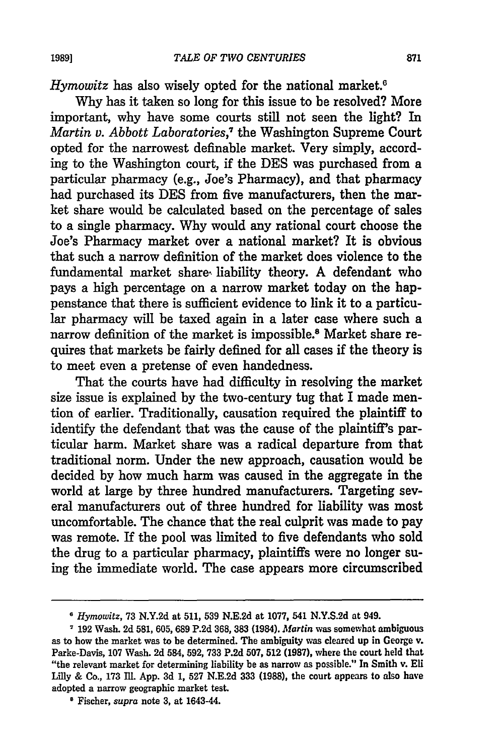Hymowitz has also wisely opted for the national market.<sup>6</sup>

Why has it taken so long for this issue to be resolved? More important, why have some courts still not seen the light? In *Martin v. Abbott Laboratories,7* the Washington Supreme Court opted for the narrowest definable market. Very simply, according to the Washington court, if the **DES** was purchased from a particular pharmacy (e.g., Joe's Pharmacy), and that pharmacy had purchased its **DES** from five manufacturers, then the market share would be calculated based on the percentage of sales to a single pharmacy. Why would any rational court choose the Joe's Pharmacy market over a national market? It is obvious that such a narrow definition of the market does violence to the fundamental market share, liability theory. A defendant who pays a high percentage on a narrow market today on the happenstance that there is sufficient evidence to link it to a particular pharmacy will be taxed again in a later case where such a narrow definition of the market is impossible.8 Market share requires that markets be fairly defined for all cases if the theory is to meet even a pretense of even handedness.

That the courts have had difficulty in resolving the market size issue is explained by the two-century tug that I made mention of earlier. Traditionally, causation required the plaintiff to identify the defendant that was the cause of the plaintiff's particular harm. Market share was a radical departure from that traditional norm. Under the new approach, causation would be decided by how much harm was caused in the aggregate **in** the world at large by three hundred manufacturers. Targeting several manufacturers out of three hundred for liability was most uncomfortable. The chance that the real culprit was made to pay was remote. If the pool was limited to five defendants who sold the drug to a particular pharmacy, plaintiffs were no longer suing the immediate world. The case appears more circumscribed

<sup>B</sup>*Hymowitz,* 73 N.Y.2d at 511, **539** N.E.2d at 1077, 541 N.Y.S.2d at 949.

<sup>7</sup> **192** Wash. 2d **581, 605, 689 P.2d 368, 383** (1984). *Martin* was somewhat ambiguous as to how the market was to be determined. The ambiguity was cleared up in George v. Parke-Davis, 107 Wash. 2d 584, 592, 733 P.2d **507, 512** (1987), where the court held that "the relevant market for determining liability be as narrow as possible." In Smith v. Eli Lilly & Co., 173 M11. App. 3d **1, 527** N.E.2d **333** (1988), the court appears to also have adopted a narrow geographic market test.

**<sup>8</sup>** Fischer, *supra* note **3,** at 1643-44.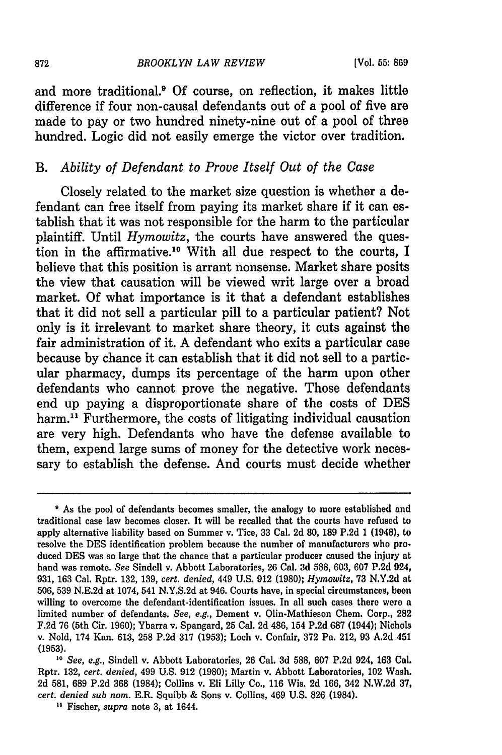and more traditional.' **Of** course, on reflection, it makes little difference if four non-causal defendants out of a pool of five are made to pay or two hundred ninety-nine out of a pool of three hundred. Logic did not easily emerge the victor over tradition.

# *B. Ability of Defendant to Prove Itself Out of the Case*

Closely related to the market size question is whether a defendant can free itself from paying its market share if it can establish that it was not responsible for the harm to the particular plaintiff. Until *Hymowitz,* the courts have answered the question in the affirmative.<sup>10</sup> With all due respect to the courts, I believe that this position is arrant nonsense. Market share posits the view that causation will be viewed writ large over a broad market. Of what importance is it that a defendant establishes that it did not sell a particular pill to a particular patient? Not only is it irrelevant to market share theory, it cuts against the fair administration of it. A defendant who exits a particular case because by chance it can establish that it did not sell to a particular pharmacy, dumps its percentage of the harm upon other defendants who cannot prove the negative. Those defendants end up paying a disproportionate share of the costs of DES harm.<sup>11</sup> Furthermore, the costs of litigating individual causation are very high. Defendants who have the defense available to them, expend large sums of money for the detective work necessary to establish the defense. And courts must decide whether

**<sup>&</sup>quot;** As the pool of defendants becomes smaller, the analogy to more established and traditional case law becomes closer. It will be recalled that the courts have refused to apply alternative liability based on Summer v. Tice, 33 Cal. 2d 80, 189 P.2d 1 (1948), to resolve the DES identification problem because the number of manufacturers who produced **DES** was so large that the chance that a particular producer caused the injury at hand was remote. *See* Sindell v. Abbott Laboratories, 26 Cal. 3d 588, 603, 607 P.2d 924, 931, 163 Cal. Rptr. 132, 139, *cert. denied,* 449 U.S. 912 (1980); *Hymowitz,* 73 N.Y.2d at 506, 539 N.E.2d at 1074, 541 N.Y.S.2d at 946. Courts have, in special circumstances, been willing to overcome the defendant-identification issues. In all such cases there were a limited number of defendants. *See, e.g.,* Dement v. Olin-Mathieson Chem. Corp., **282** F.2d 76 (5th Cir. 1960); Ybarra v. Spangard, 25 Cal. 2d 486, 154 P.2d 687 (1944); Nichols v. Nold, 174 Kan. 613, 258 P.2d 317 (1953); Loch v. Confair, 372 Pa. 212, 93 A.2d 451 **(1953).**

*<sup>10</sup> See, e.g.,* Sindell v. Abbott Laboratories, 26 Cal. 3d 588, 607 P.2d 924, **163** Cal. Rptr. 132, *cert. denied,* 499 U.S. 912 (1980); Martin v. Abbott Laboratories, 102 Wash. 2d 581, 689 P.2d 368 (1984); Collins v. Eli Lilly Co., 116 Wis. 2d 166, 342 N.W.2d **37,** *cert. denied sub nom.* E.R. Squibb & Sons v. Collins, 469 U.S. 826 (1984). **"** Fischer, *supra* note 3, at 1644.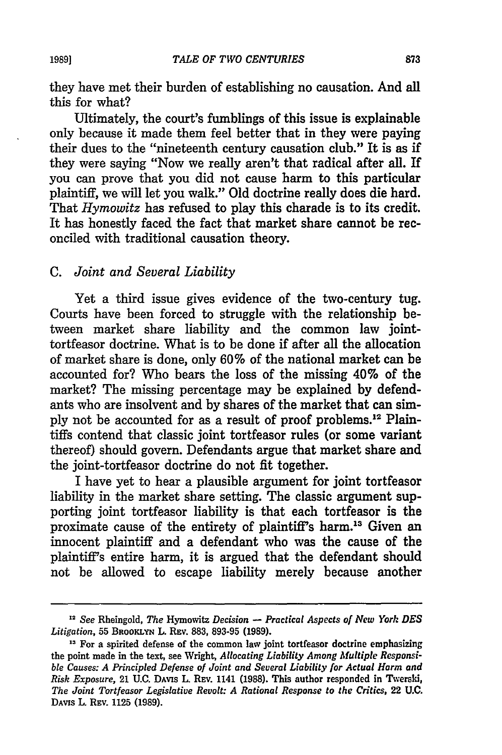they have met their burden of establishing no causation. And all this for what?

Ultimately, the court's fumblings of this issue is explainable only because it made them feel better that in they were paying their dues to the "nineteenth century causation club." It is as if they were saying "Now we really aren't that radical after all. If you can prove that you did not cause harm to this particular plaintiff, we will let you walk." **Old** doctrine really does die hard. That *Hymowitz* has refused to play this charade is to its credit. It has honestly faced the fact that market share cannot be reconciled with traditional causation theory.

# *C. Joint and Several Liability*

Yet a third issue gives evidence of the two-century tug. Courts have been forced to struggle with the relationship between market share liability and the common law jointtortfeasor doctrine. What is to be done if after all the allocation of market share is done, only 60% of the national market can be accounted for? Who bears the loss of the missing 40% of the market? The missing percentage may be explained by defendants who are insolvent and by shares of the market that can simply not be accounted for as a result of proof problems.<sup>12</sup> Plaintiffs contend that classic joint tortfeasor rules (or some variant thereof) should govern. Defendants argue that market share and the joint-tortfeasor doctrine do not fit together.

I have yet to hear a plausible argument for joint tortfeasor liability in the market share setting. The classic argument supporting joint tortfeasor liability is that each tortfeasor is the proximate cause of the entirety of plaintiff's harm.13 Given an innocent plaintiff and a defendant who was the cause of the plaintiff's entire harm, it is argued that the defendant should not be allowed to escape liability merely because another

<sup>12</sup>*See* Rheingold, *The* Hymowitz *Decision* - *Practical Aspects of New York DES Litigation,* **55** BROOKLYN L R v. **883, 893-95 (1989).**

<sup>&</sup>lt;sup>13</sup> For a spirited defense of the common law joint tortfeasor doctrine emphasizing the point made in the text, see Wright, *Allocating Liability Among Multiple Responsible Causes: A Principled Defense of Joint and Several Liability for Actual Harm and Risk Exposure,* 21 **U.C.** DAVIS L **REV.** 1141 **(1988).** This author responded in Twerski, *The Joint Tortfeasor Legislative Revolt: A Rational Response to the Critics,* 22 **U.C.** DAVIS L. REv. 1125 **(1989).**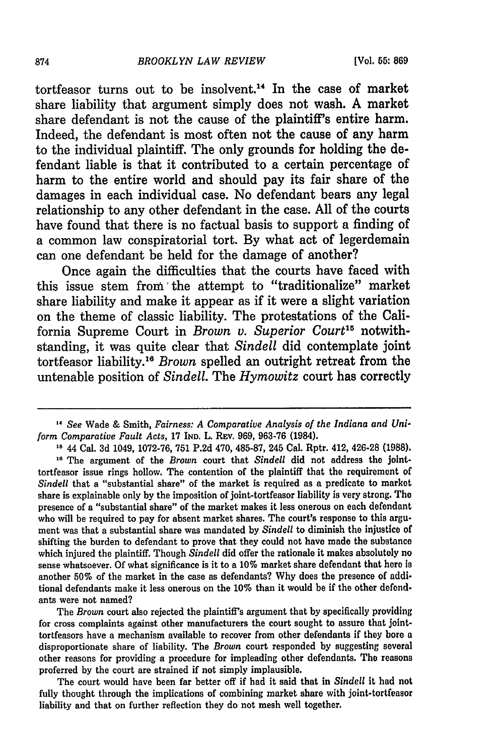tortfeasor turns out to be insolvent.14 In the case of market share liability that argument simply does not wash. **A** market share defendant is not the cause of the plaintiff's entire harm. Indeed, the defendant is most often not the cause of any harm to the individual plaintiff. The only grounds for holding the defendant liable is that it contributed to a certain percentage of harm to the entire world and should pay its fair share of the damages in each individual case. No defendant bears any legal relationship to any other defendant in the case. **All** of the courts have found that there is no factual basis to support a finding of a common law conspiratorial tort. **By** what act of legerdemain can one defendant be held for the damage of another?

Once again the difficulties that the courts have faced with this issue stem **from'** the attempt to "traditionalize" market share liability and make it appear as if it were a slight variation on the theme of classic liability. The protestations of the California Supreme Court in *Brown v. Superior Court15* notwithstanding, it was quite clear that *Sindell* did contemplate joint tortfeasor liability.16 *Brown* spelled an outright retreat from the untenable position of *Sindell.* The *Hymowitz* court has correctly

ment was that a substantial share was mandated by *Sindell* to diminish the injustice of shifting the burden to defendant to prove that they could not have made the substance which injured the plaintiff. Though *Sindell* did offer the rationale it makes absolutely no sense whatsoever. Of what significance is it to a **10%** market share defendant that here is another 50% of the market in the case as defendants? Why does the presence of additional defendants make it less onerous on the **10%** than it would be if the other defendants were not named?

The *Brown* court also rejected the plaintiff's argument that by specifically providing for cross complaints against other manufacturers the court sought to assure that jointtortfeasors have a mechanism available to recover from other defendants if they bore a disproportionate share of liability. The *Brown* court responded by suggesting several other reasons for providing a procedure for impleading other defendants. The reasons proferred by the court are strained if not simply implausible.

The court would have been far better off if had it said that in *Sindell* it had not fully thought through the implications of combining market share with joint-tortfeasor liability and that on further reflection they do not mesh well together.

*<sup>14</sup> See* Wade & Smith, *Fairness: A Comparative Analysis of the Indiana and Uniform Comparative Fault Acts,* 17 IND. L. REV. 969, 963-76 (1984).

**<sup>1</sup>**44 Cal. 3d 1049, 1072-76, 751 P.2d 470, 485-87, 245 Cal. Rptr. 412, 426-28 **(1988). 16** The argument of the *Brown* court that *Sindell* did not address the jointtortfeasor issue rings hollow. The contention of the plaintiff that the requirement of *Sindell* that a "substantial share" of the market is required as a predicate to market share is explainable only by the imposition of joint-tortfeasor liability is very strong. The presence of a "substantial share" of the market makes it less onerous on each defendant who will be required to pay for absent market shares. The court's response to this argu-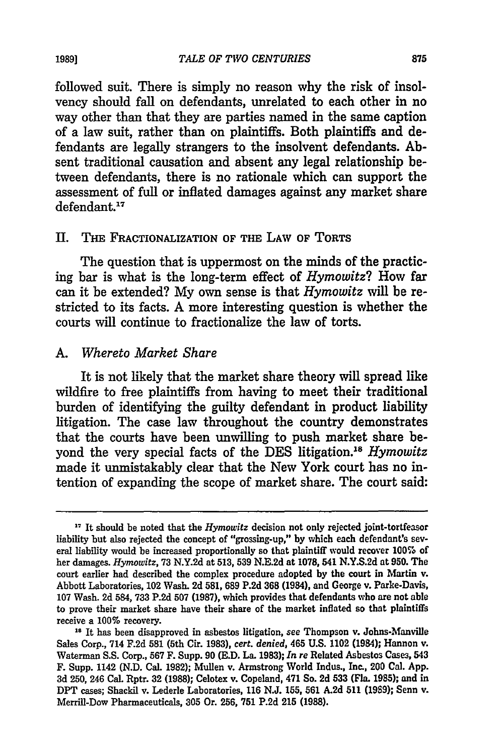followed suit. There is simply no reason why the risk of insolvency should **fall** on defendants, unrelated to each other in no way other than that they are parties named in the same caption of a law suit, rather than on plaintiffs. Both plaintiffs and defendants are legally strangers to the insolvent defendants. **Ab**sent traditional causation and absent any legal relationship between defendants, there is no rationale which can support the assessment of full or inflated damages against any market share defendant.<sup>17</sup>

#### **II.** Tim **FRACTIONALIZATION OF THE LAW OF TORTS**

The question that is uppermost on the minds of the practicing bar is what is the long-term effect of *Hymowitz?* How far can it be extended? **My** own sense is that *Hymowitz* **will** be restricted to its facts. **A** more interesting question is whether the courts will continue to fractionalize the law of torts.

#### *A. Whereto Market Share*

It is not likely that the market share theory will spread like wildfire to free plaintiffs from having to meet their traditional burden of identifying the guilty defendant in product liability litigation. The case law throughout the country demonstrates that the courts have been unwilling to push market share beyond the very special facts of the DES litigation.<sup>18</sup> *Hymowitz* made it unmistakably clear that the New York court has no intention of expanding the scope of market share. The court said:

**1989]**

**<sup>17</sup>** It should be noted that the *Hymowitz* decision not only rejected joint-tortfeasor liability but also rejected the concept of "grossing-up," **by** which each defendant's several liability would be increased proportionally so that plaintiff would recover **100%** of her damages. *Hymowitz,* **73 N.Y.2d** at **513, 539 N.E.2d** at 1078, 541 **N.Y.S.2d** at **950.** The court earlier had described the complex procedure adopted **by** the court in Martin v. Abbott Laboratories, 102 Wash. **2d 581, 689 P.2d 368** (1984), and George v. Parke-Davis, **107** Wash. **2d** 584, **733 P.2d 507 (1987),** which provides that defendants who are not able to prove their market share have their share of the market inflated so that plaintiffs receive a **100%** recovery.

**<sup>18</sup> It** has been disapproved in asbestos litigation, see Thompson v. Johns-Manville Sales Corp., 714 **F.2d 581** (5th Cir. **1983),** *cert. denied,* 465 **U.S.** 1102 (1984); Hannon v. Waterman **S.S.** Corp., **567** F. Supp. **90 (E.D.** La. **1983);** *In re* Related Asbestos Cases, 543 F. Supp. 1142 **(N.D.** Cal. **1982);** Mullen v. Armstrong World Indus., Inc., 200 Cal. **App. 3d 250,** 246 Cal. Rptr. **32 (1988);** Celotex v. Copeland, 471 So. **2d 533 (Fla. 1985);** and in DPT cases; Shackil v. Lederle Laboratories, **116 N.J. 155, 561 A.2d 511 (1989);** Senn **v.** Merrill-Dow Pharmaceuticals, **305** Or. **256, 751 P.2d 215 (1988).**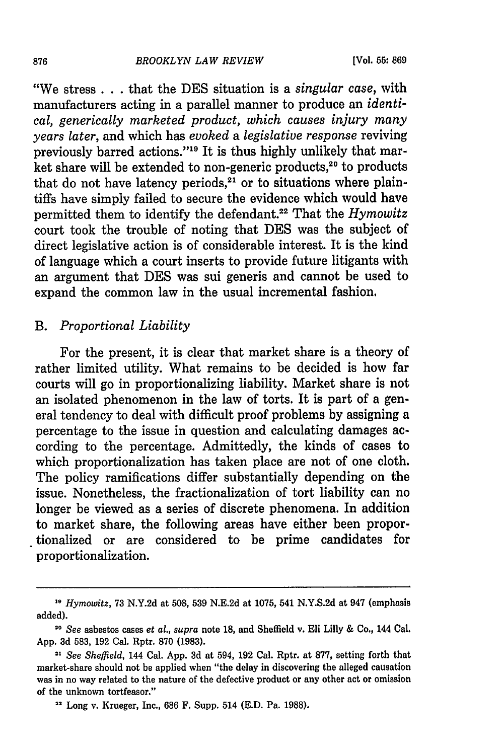"We stress **..** that the DES situation is a *singular case,* with manufacturers acting in a parallel manner to produce an *identical, generically marketed product, which causes injury many years later,* and which has *evoked a legislative response* reviving previously barred actions."<sup>19</sup> It is thus highly unlikely that market share will be extended to non-generic products,<sup>20</sup> to products that do not have latency periods, $21$  or to situations where plaintiffs have simply failed to secure the evidence which would have permitted them to identify the defendant.<sup>22</sup> That the *Hymowitz* court took the trouble of noting that DES was the subject of direct legislative action is of considerable interest. It is the kind of language which a court inserts to provide future litigants with an argument that DES was sui generis and cannot be used to expand the common law in the usual incremental fashion.

# *B. Proportional Liability*

For the present, it is clear that market share is a theory of rather limited utility. What remains to be decided is how far courts will go in proportionalizing liability. Market share is not an isolated phenomenon in the law of torts. It is part of a general tendency to deal with difficult proof problems by assigning a percentage to the issue in question and calculating damages according to the percentage. Admittedly, the kinds of cases to which proportionalization has taken place are not of one cloth. The policy ramifications differ substantially depending on the issue. Nonetheless, the fractionalization of tort liability can no longer be viewed as a series of discrete phenomena. In addition to market share, the following areas have either been proportionalized or are considered to be prime candidates for proportionalization.

*<sup>19</sup> Hymowitz,* 73 N.Y.2d at 508, 539 N.E.2d at 1075, 541 N.Y.S.2d at 947 (emphasis added).

**<sup>20</sup>***See* asbestos cases *et al., supra* note **18,** and Sheffield v. Eli Lilly & Co., 144 Cal. **App. 3d 583, 192** Cal. Rptr. **870 (1983).**

**<sup>21</sup>***See Sheffield,* 144 Cal. **App. 3d** at 594, **192** Cal. Rptr. at **877,** setting forth that market-share should not be applied when "the delay in discovering the alleged causation was in no way related to the nature of the defective product or any other act or omission of the unknown tortfeasor."

**<sup>22</sup>** Long v. Krueger, Inc., **686** F. Supp. 514 **(E.D.** Pa. **1988).**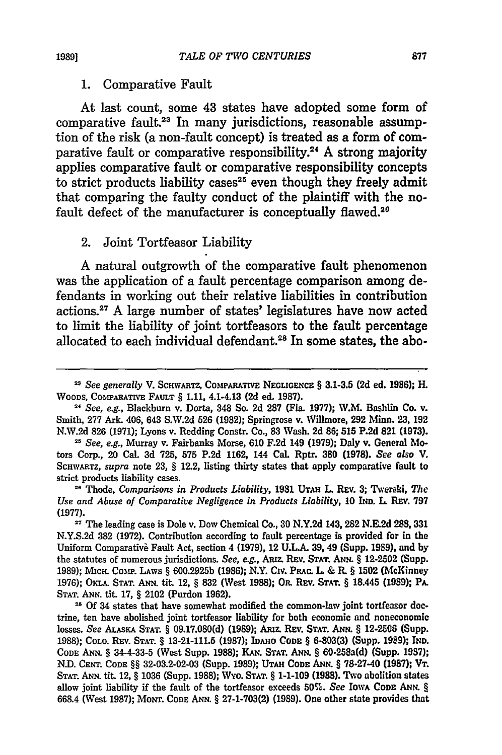#### 1. Comparative Fault

At last count, some 43 states have adopted some form of comparative fault.<sup>23</sup> In many jurisdictions, reasonable assumption of the risk (a non-fault concept) is treated as a form of comparative fault or comparative responsibility.<sup>24</sup> A strong majority applies comparative fault or comparative responsibility concepts to strict products liability cases<sup>25</sup> even though they freely admit that comparing the faulty conduct of the plaintiff with the nofault defect of the manufacturer is conceptually flawed.<sup>26</sup>

# 2. Joint Tortfeasor Liability

A natural outgrowth of the comparative fault phenomenon was the application of a fault percentage comparison among defendants in working out their relative liabilities in contribution actions.<sup>27</sup> A large number of states' legislatures have now acted to limit the liability of joint tortfeasors to the fault percentage allocated to each individual defendant.<sup>28</sup> In some states, the abo-

<sup>&</sup>lt;sup>23</sup> See generally V. SCHWARTZ, COMPARATIVE NEGLIGENCE § 3.1-3.5 (2d ed. 1986); H. WOODS, **COMPARATIVE** FAULT § **1.11,** 4.14.13 **(2d** ed. **1987).**

*<sup>21</sup> See, e.g.,* Blackburn v. Dorta, 348 So. **2d 287 (Fla. 1977);** W.M. Bashlin Co. v. Smith, **277** Ark. 406, 643 **S.W.2d 526 (1982);** Springrose v. Willmore, **292 Ihn. 23, 192 N.W.2d 826 (1971);** Lyons v. Redding Constr. Co., **83** Wash. **2d 86; 515 P.2d 821 (1973).**

**<sup>25</sup>** *See, e.g.,* Murray v. Fairbanks Morse, **610 F.2d** 149 **(1979);** Daly v. General Motors Corp., 20 Cal. **3d 725, 575 P.2d 1162,** 144 Cal. Rptr. **380 (1978).** *See* also *V.* SCHWARTZ, *supra* note **23,** § 12.2, listing thirty states that apply comparative fault to strict products liability cases.

**<sup>26</sup>**Thode, *Comparisons in Products Liability,* **1981** UTAH **L.** REv. **3;** Twerski, *The Use and Abuse of Comparative Negligence in Products Liability,* **10 IND. L.** REv. **797 (1977).**

**<sup>27</sup>**The leading case is Dole v. Dow Chemical Co., **30 N.Y.2d** 143, **282 N.E.2d** 288, **331 N.Y.S.2d 382 (1972).** Contribution according to fault percentage is provided for in the Uniform Comparativi Fault Act, section 4 **(1979),** 12 **U.L.A. 39,** 49 (Supp. **1989),** and **by** the statutes of numerous jurisdictions. *See, e.g.,* ARiz. REv. **STAT.** ANN. § **12-2502** (Supp. **1989);** MiHc Comp. **LAWS** § **600.2925b (1986);** N.Y. Cirv. PRAc. L, & **R.** § 1502 (McKinney **1976);** OKLA. **STAT. ANN.** tit. 12, § **832** (West **1988);** OR. **REv. STAT.** § 18.445 **(1989);** PA. **STAT. ANN.** tit. **17,** § 2102 (Purdon **1962).**

<sup>&</sup>lt;sup>28</sup> Of 34 states that have somewhat modified the common-law joint tortfeasor doctrine, ten have abolished joint tortfeasor liability for both economic and noneconomic losses. *See ALASKA* **STAT.** § **09.17.080(d) (1989);** ARiz. REv. **STAT.** ANN. § **12-2506** (Supp. **1988);** COLO. **REv. STAT.** § **13-21-111.5 (1987);** IDAHO **CODE** § **6-803(3)** (Supp. **1989); IND. CODE ANN.** § 344-33-5 (West Supp. **1988); KA'. STAT. ANN.** § 60-258a(d) (Supp. **1987);** *N.D.* **CENT. CODE** §§ **32-03.2-02-03 (Supp.** 1989); **UTAH CODE** ANN. § **78-2740 (1987);** VT. **STAT. ANN.** tit. 12, § **1036** (Supp. **1988);** Wyo. **STAT.** § **1-1-109 (1988).** Two abolition states allow joint liability if the fault of the tortfeasor exceeds 50%. *See* **IOWA CODE** ANN. **§ 668.4** (West **1987); MONT. CODE ANN.** § **27-1-703(2) (1989).** One other state provides that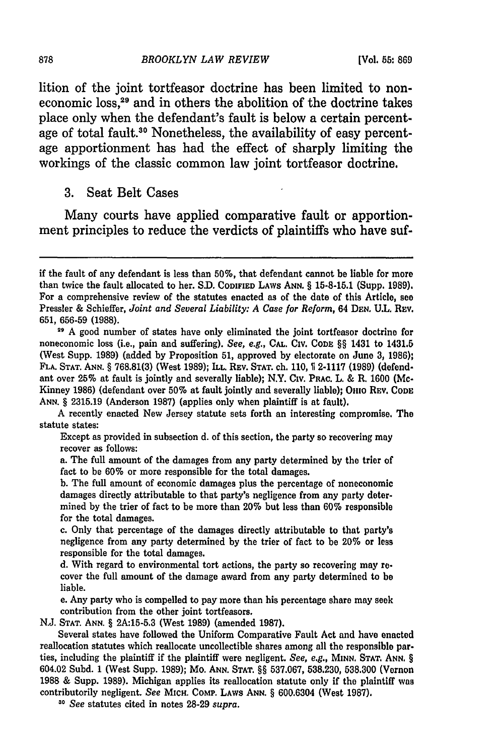lition of the joint tortfeasor doctrine has been limited to noneconomic loss,<sup>29</sup> and in others the abolition of the doctrine takes place only when the defendant's fault is below a certain percentage of total fault.<sup>30</sup> Nonetheless, the availability of easy percentage apportionment has had the effect of sharply limiting the workings of the classic common law joint tortfeasor doctrine.

**3.** Seat Belt Cases

Many courts have applied comparative fault or apportionment principles to reduce the verdicts of plaintiffs who have suf-

A recently enacted New Jersey statute sets forth an interesting compromise. The statute states:

Except as provided in subsection **d.** of this section, the party so recovering may recover as follows:

a. The full amount of the damages from any party determined **by** the trier of fact to be **60%** or more responsible for the total damages.

**b.** The **full** amount of economic damages plus the percentage of noneconomic damages directly attributable to that party's negligence from any party deter. mined **by** the trier of fact to be more than 20% but less than **60%** responsible for the total damages.

c. Only that percentage of the damages directly attributable to that party's negligence from any party determined **by** the trier of fact to be 20% or less responsible for the total damages.

**d.** With regard to environmental tort actions, the party so recovering may recover the full amount of the damage award from any party determined to **be** liable.

e. Any party who is compelled to pay more than his percentage share may seek contribution from the other joint tortfeasors.

**N.J. STAT. ANN.** § **2A:15-5.3** (West **1989)** (amended **1987).**

Several states have followed the Uniform Comparative Fault Act and have enacted reallocation statutes which reallocate uncollectible shares among all the responsible parties, including the plaintiff if the plaintiff were negligent. *See, e.g.,* **MINN. STAT. ANN,** § 604.02 Subd. **1** (West Supp. **1989);** Mo. **ANN. STAT.** §§ **537.067, 538.230, 538.300** (Vernon **1988 &** Supp. **1989).** Michigan applies its reallocation statute only if the plaintiff was contributorily negligent. *See* **MIcH. CoMP. LAWS ANN.** § **600.6304** (West **1987).**

*<sup>30</sup>See* statutes cited in notes **28-29** *supra.*

if the fault of any defendant is less than **50%,** that defendant cannot be liable for more than twice the fault allocated to her. **S.D. CODIFIED LAWS ANN.** § **15-8-15.1 (Supp. 1989).** For a comprehensive review of the statutes enacted as of the date of this Article, **see** Pressler **&** Schieffer, *Joint and Several Liability: A Case for Reform,* 64 **DE.N, U.L.** REv. **651, 656-59 (1988).**

**<sup>29</sup> A** good number of states have only eliminated the joint tortfeasor doctrine for noneconomic loss (i.e., pain and suffering). *See, e.g.,* **CAL. CIv. CODE** §§ 1431 to 1431.5 (West Supp. **1989)** (added **by** Proposition **51,** approved **by** electorate on June **3, 1986); FLA. STAT. ANN.** § **768.81(3)** (West **1989); ILL. REV. STAT.** ch. **110, 1 2-1117 (1989)** (defendant over **25%** at fault is jointly and severally liable); N.Y. **Civ. PRAC.** L. & R. **1600** (Mc-Kinney **1986)** (defendant over **50%** at fault jointly and severally liable); **Omo REV. CODE ANN.** § **2315.19** (Anderson **1987)** (applies only when plaintiff is at fault).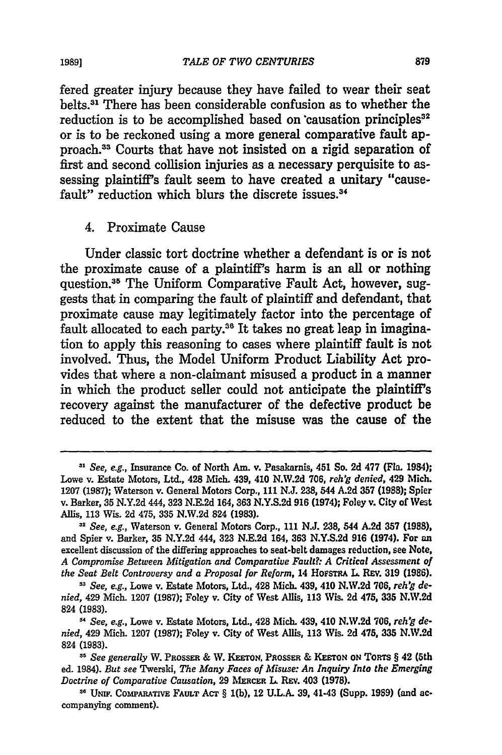fered greater injury because they have failed to wear their seat belts.<sup>31</sup> There has been considerable confusion as to whether the reduction is to be accomplished based on causation principles<sup>32</sup> or is to be reckoned using a more general comparative fault approach."3 Courts that have not insisted on a rigid separation of first and second collision injuries as a necessary perquisite to assessing plaintiffs fault seem to have created a unitary "causefault" reduction which blurs the discrete issues.<sup>34</sup>

#### 4. Proximate Cause

Under classic tort doctrine whether a defendant is or is not the proximate cause of a plaintiff's harm is an all or nothing question.35 The Uniform Comparative Fault Act, however, suggests that in comparing the fault of plaintiff and defendant, that proximate cause may legitimately factor into the percentage of fault allocated to each party.<sup>36</sup> It takes no great leap in imagination to apply this reasoning to cases where plaintiff fault is not involved. Thus, the Model Uniform Product Liability Act provides that where a non-claimant misused a product in a manner in which the product seller could not anticipate the plaintiff's recovery against the manufacturer of the defective product be reduced to the extent that the misuse was the cause of the

*<sup>11</sup>See, e.g.,* Insurance Co. of North Am. v. Pasakarnis, 451 So. **2d 477** (Fla. 1984); Lowe v. Estate Motors, Ltd., 428 Mich. 439, 410 **N.W.2d 706,** *reh'g denied,* 429 Mich. **1207 (1987);** Waterson v. General Motors Corp., **111** N.J. **238,** 544 **A.2d 357 (1988);** Spier v. Barker, **35 N.Y.2d** 444, **323 N.E.2d** 164, **363 N.Y.S.2d 916** (1974); Foley v. City **of** West Allis, **113** Wis. **2d** 475, **335 N.W.2d** 824 **(1983).**

*<sup>3&</sup>quot; See, e.g.,* Waterson v. General Motors Corp., **111 N.J. 238,** 544 **A.2d 357 (1988),** and Spier v. Barker, **35 N.Y.2d** 444, **323 N.E.2d** 164, **363 N.Y.S.2d 916** (1974). For an excellent discussion of the differing approaches to seat-belt damages reduction, see Note, *A Compromise Between Mitigation and Comparative Fault?: A Critical Assessment of the Seat Belt Controversy and a Proposal* **for** *Reform,* 14 HoFsTRA **L.** RIv. **319 (1986).**

*See, e.g.,* Lowe v. Estate Motors, Ltd., 428 Mich. 439, 410 **N.W.2d 706,** *reh'g denied,* 429 Mich. **1207 (1987);** Foley v. City of West Allis, **113** Wis. **2d** 475, **335 N.W.2d 824 (1983).**

*<sup>&</sup>quot;See, e.g.,* Lowe v. Estate Motors, Ltd., 428 Mich. 439, 410 **N.W.2d 706,** *reh'g denied,* 429 Mich. **1207 (1987);** Foley v. City of West Allis, **113** Wis. **2d** 475, **335 N.W.2d** 824 **(1983).**

**<sup>,&#</sup>x27;** *See generally* W. PRossER **& W.** KETON, PaossEa **& KEETON ON** Ton's § 42 (5th ed. 1984). *But see* Twerski, *The Many Faces of Misuse: An Inquiry Into the Emerging Doctrine of Comparative Causation,* **29** MERCER L REv. 403 (1978).

**<sup>36</sup> UNIF.** CoMPARATVE FAULT AcT § **l(b),** 12 **U.L.A. 39,** 41-43 (Supp. **1989)** (and accompanying comment).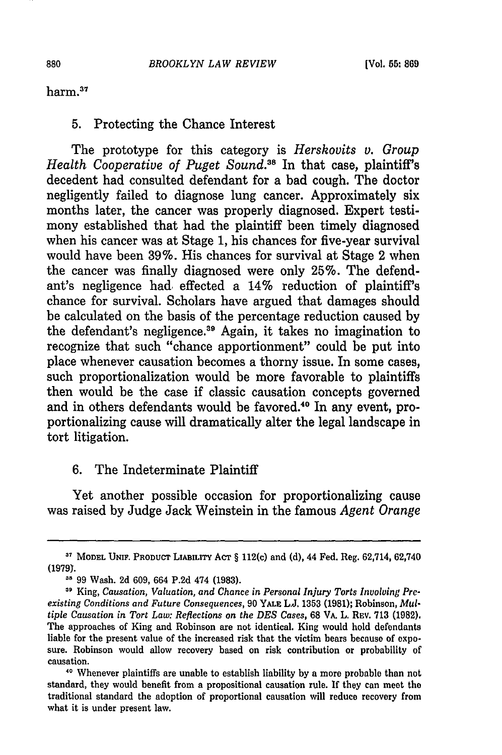harm.<sup>37</sup>

#### 5. Protecting the Chance Interest

The prototype for this category is *Hershovits v. Group Health Cooperative of Puget Sound.*<sup>38</sup> In that case, plaintiff's decedent had consulted defendant for a bad cough. The doctor negligently failed to diagnose lung cancer. Approximately six months later, the cancer was properly diagnosed. Expert testimony established that had the plaintiff been timely diagnosed when his cancer was at Stage 1, his chances for five-year survival would have been 39%. His chances for survival at Stage 2 when the cancer was finally diagnosed were only 25%. The defendant's negligence had, effected a 14% reduction of plaintiff's chance for survival. Scholars have argued that damages should be calculated on the basis of the percentage reduction caused by the defendant's negligence.<sup>39</sup> Again, it takes no imagination to recognize that such "chance apportionment" could be put into place whenever causation becomes a thorny issue. In some cases, such proportionalization would be more favorable to plaintiffs then would be the case if classic causation concepts governed and in others defendants would be favored.<sup>40</sup> In any event, proportionalizing cause will dramatically alter the legal landscape in tort litigation.

### 6. The Indeterminate Plaintiff

Yet another possible occasion for proportionalizing cause was raised by Judge Jack Weinstein in the famous *Agent Orange*

**<sup>37</sup> MODEL UNIF. PRODUCT LIABILITY ACT** § 112(c) and (d), 44 Fed. Reg. 62,714, 62,740 **(1979).**

**<sup>&</sup>quot;** 99 Wash. 2d 609, 664 P.2d 474 (1983).

**<sup>&</sup>quot;** King, *Causation, Valuation, and Chance in Personal Injury Torts Involving Preexisting Conditions and Future Consequences,* 90 YALE L.J. 1353 **(1981);** Robinson, *Multiple Causation in Tort Law: Reflections on the DES Cases,* 68 VA. L. REV. 713 **(1982).** The approaches of King and Robinson are not identical. King would hold defendants liable for the present value of the increased risk that the victim bears because of exposure. Robinson would allow recovery based on risk contribution or probability of causation.

**<sup>40</sup>** Whenever plaintiffs are unable to establish liability by a more probable than not standard, they would benefit from a propositional causation rule. If they can meet the traditional standard the adoption of proportional causation will reduce recovery from what it is under present law.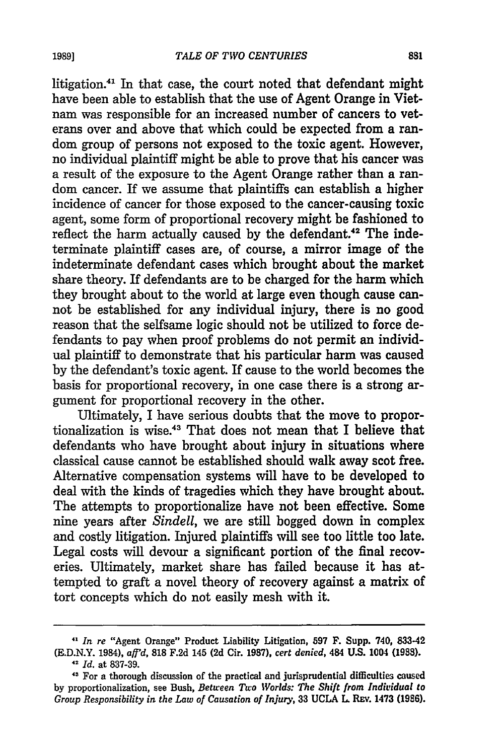litigation.<sup>41</sup> In that case, the court noted that defendant might have been able to establish that the use of Agent Orange in Vietnam was responsible for an increased number of cancers to veterans over and above that which could be expected from a random group of persons not exposed to the toxic agent. However, no individual plaintiff might be able to prove that his cancer was a result of the exposure to the Agent Orange rather than a random cancer. If we assume that plaintiffs can establish a higher incidence of cancer for those exposed to the cancer-causing toxic agent, some form of proportional recovery might be fashioned to reflect the harm actually caused by the defendant.<sup>42</sup> The indeterminate plaintiff cases are, of course, a mirror image of the indeterminate defendant cases which brought about the market share theory. If defendants are to be charged for the harm which they brought about to the world at large even though cause cannot be established for any individual injury, there is no good reason that the selfsame logic should not be utilized to force defendants to pay when proof problems do not permit an individual plaintiff to demonstrate that his particular harm was caused by the defendant's toxic agent. If cause to the world becomes the basis for proportional recovery, in one case there is a strong argument for proportional recovery in the other.

Ultimately, I have serious doubts that the move to proportionalization is wise.43 That does not mean that I believe that defendants who have brought about injury in situations where classical cause cannot be established should walk away scot free. Alternative compensation systems will have to be developed to deal with the kinds of tragedies which they have brought about. The attempts to proportionalize have not been effective. Some nine years after *Sindell,* we are still bogged down in complex and costly litigation. Injured plaintiffs will see too little too late. Legal costs will devour a significant portion of the final recoveries. Ultimately, market share has failed because it has attempted to graft a novel theory of recovery against a matrix of tort concepts which do not easily mesh with it.

*<sup>&</sup>quot; In re* "Agent Orange" Product Liability Litigation, **597 F. Supp.** 740, **833.42 (E.D.N.Y. 1984),** *aff'd,* **818 F.2d 145 (2d** Cir. **1987),** *cert denied,* **484 U.S. 1004 (1988).** <sup>42</sup>*Id.* at **837-39.**

<sup>&</sup>lt;sup>43</sup> For a thorough discussion of the practical and jurisprudential difficulties caused by proportionalization, see Bush, *Between Two Worlds: The Shift from Individual to Group Responsibility in the Law of Causation of Injury,* **33 UCLA** L REv. 1473 **(1986).**